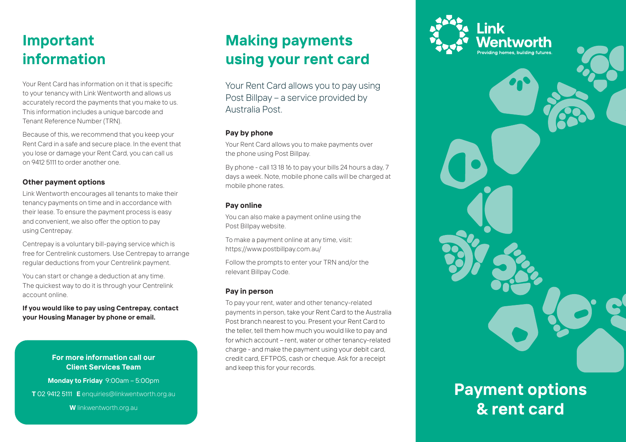## **Important information**

Your Rent Card has information on it that is specific to your tenancy with Link Wentworth and allows us accurately record the payments that you make to us. This information includes a unique barcode and Tenant Reference Number (TRN).

Because of this, we recommend that you keep your Rent Card in a safe and secure place. In the event that you lose or damage your Rent Card, you can call us on 9412 5111 to order another one.

#### **Other payment options**

Link Wentworth encourages all tenants to make their tenancy payments on time and in accordance with their lease. To ensure the payment process is easy and convenient, we also offer the option to pay using Centrepay.

Centrepay is a voluntary bill-paying service which is free for Centrelink customers. Use Centrepay to arrange regular deductions from your Centrelink payment.

You can start or change a deduction at any time. The quickest way to do it is through your Centrelink account online.

**If you would like to pay using Centrepay, contact your Housing Manager by phone or email.** 

#### **For more information call our Client Services Team**

**Monday to Friday** 9:00am – 5:00pm

**T** 02 9412 5111 **E** enquiries@linkwentworth.org.au

**W** linkwentworth.org.au

### **Making payments using your rent card**

Your Rent Card allows you to pay using Post Billpay – a service provided by Australia Post.

#### **Pay by phone**

Your Rent Card allows you to make payments over the phone using Post Billpay.

By phone - call 13 18 16 to pay your bills 24 hours a day, 7 days a week. Note, mobile phone calls will be charged at mobile phone rates.

#### **Pay online**

You can also make a payment online using the Post Billpay website.

To make a payment online at any time, visit: https://www.postbillpay.com.au/

Follow the prompts to enter your TRN and/or the relevant Billpay Code.

#### **Pay in person**

To pay your rent, water and other tenancy-related payments in person, take your Rent Card to the Australia Post branch nearest to you. Present your Rent Card to the teller, tell them how much you would like to pay and for which account – rent, water or other tenancy-related charge - and make the payment using your debit card, credit card, EFTPOS, cash or cheque. Ask for a receipt and keep this for your records.



# **Payment options & rent card**